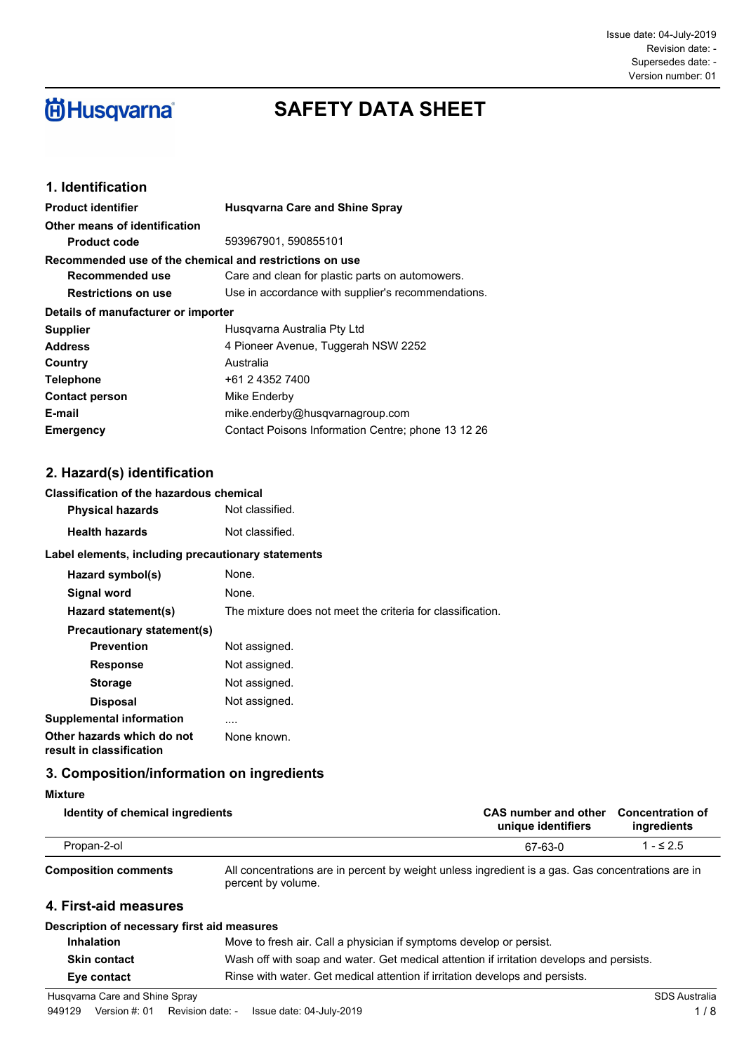# **尚Husqvarna**

## **SAFETY DATA SHEET**

### **1. Identification**

| <b>Product identifier</b>                               | <b>Husgvarna Care and Shine Spray</b>              |
|---------------------------------------------------------|----------------------------------------------------|
| Other means of identification                           |                                                    |
| <b>Product code</b>                                     | 593967901, 590855101                               |
| Recommended use of the chemical and restrictions on use |                                                    |
| Recommended use                                         | Care and clean for plastic parts on automowers.    |
| <b>Restrictions on use</b>                              | Use in accordance with supplier's recommendations. |
| Details of manufacturer or importer                     |                                                    |
| <b>Supplier</b>                                         | Husgvarna Australia Pty Ltd                        |
| <b>Address</b>                                          | 4 Pioneer Avenue, Tuggerah NSW 2252                |
| Country                                                 | Australia                                          |
| <b>Telephone</b>                                        | +61 2 4352 7400                                    |
| <b>Contact person</b>                                   | Mike Enderby                                       |
| E-mail                                                  | mike.enderby@husqvarnagroup.com                    |
| Emergency                                               | Contact Poisons Information Centre; phone 13 12 26 |

### **2. Hazard(s) identification**

### **Classification of the hazardous chemical**

| <b>Physical hazards</b> | Not classified. |
|-------------------------|-----------------|
| <b>Health hazards</b>   | Not classified. |

#### **Label elements, including precautionary statements**

| Hazard symbol(s)                                       | None.                                                      |
|--------------------------------------------------------|------------------------------------------------------------|
| Signal word                                            | None.                                                      |
| Hazard statement(s)                                    | The mixture does not meet the criteria for classification. |
| Precautionary statement(s)                             |                                                            |
| <b>Prevention</b>                                      | Not assigned.                                              |
| <b>Response</b>                                        | Not assigned.                                              |
| <b>Storage</b>                                         | Not assigned.                                              |
| <b>Disposal</b>                                        | Not assigned.                                              |
| Supplemental information                               |                                                            |
| Other hazards which do not<br>result in classification | None known.                                                |

### **3. Composition/information on ingredients**

| <b>Mixture</b>                              |                                                                                                                         |                                            |                                        |
|---------------------------------------------|-------------------------------------------------------------------------------------------------------------------------|--------------------------------------------|----------------------------------------|
| Identity of chemical ingredients            |                                                                                                                         | CAS number and other<br>unique identifiers | <b>Concentration of</b><br>ingredients |
| Propan-2-ol                                 |                                                                                                                         | 67-63-0                                    | $1 - 52.5$                             |
| <b>Composition comments</b>                 | All concentrations are in percent by weight unless ingredient is a gas. Gas concentrations are in<br>percent by volume. |                                            |                                        |
| 4. First-aid measures                       |                                                                                                                         |                                            |                                        |
| Description of necessary first aid measures |                                                                                                                         |                                            |                                        |
| <b>Inhalation</b>                           | Move to fresh air. Call a physician if symptoms develop or persist.                                                     |                                            |                                        |
| <b>Skin contact</b>                         | Wash off with soap and water. Get medical attention if irritation develops and persists.                                |                                            |                                        |
| Eye contact                                 | Rinse with water. Get medical attention if irritation develops and persists.                                            |                                            |                                        |

Husqvarna Care and Shine Spray SDS Australia Superior SDS Australia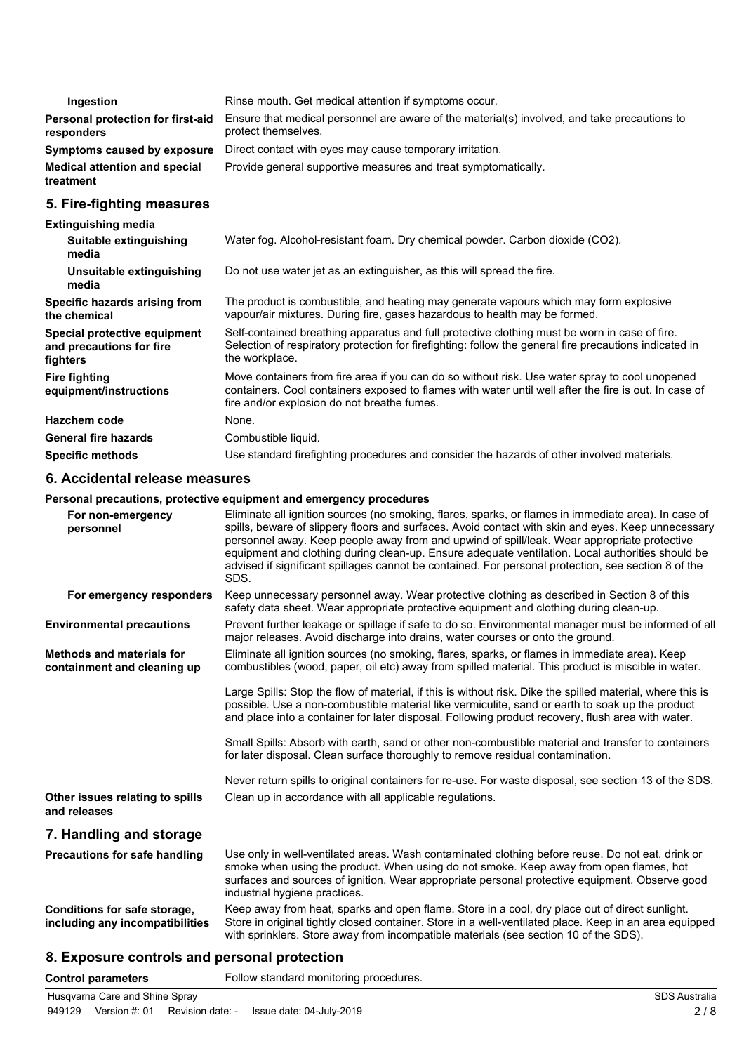| Ingestion                                         | Rinse mouth. Get medical attention if symptoms occur.                                                               |
|---------------------------------------------------|---------------------------------------------------------------------------------------------------------------------|
| Personal protection for first-aid<br>responders   | Ensure that medical personnel are aware of the material(s) involved, and take precautions to<br>protect themselves. |
| Symptoms caused by exposure                       | Direct contact with eyes may cause temporary irritation.                                                            |
| <b>Medical attention and special</b><br>treatment | Provide general supportive measures and treat symptomatically.                                                      |
| 5. Fire-fighting measures                         |                                                                                                                     |
| <b>Extinguishing media</b>                        |                                                                                                                     |

#### **Suitable extinguishing** Water fog. Alcohol-resistant foam. Dry chemical powder. Carbon dioxide (CO2). **media Unsuitable extinguishing** Do not use water jet as an extinguisher, as this will spread the fire. **media** The product is combustible, and heating may generate vapours which may form explosive vapour/air mixtures. During fire, gases hazardous to health may be formed. **Specific hazards arising from the chemical** Self-contained breathing apparatus and full protective clothing must be worn in case of fire. Selection of respiratory protection for firefighting: follow the general fire precautions indicated in the workplace. **Special protective equipment and precautions for fire fighters** Move containers from fire area if you can do so without risk. Use water spray to cool unopened containers. Cool containers exposed to flames with water until well after the fire is out. In case of fire and/or explosion do not breathe fumes. **Fire fighting equipment/instructions Hazchem code** None. General fire hazards **Combustible liquid. Specific methods** Use standard firefighting procedures and consider the hazards of other involved materials.

#### **6. Accidental release measures**

#### **Personal precautions, protective equipment and emergency procedures**

| For non-emergency<br>personnel                                  | Eliminate all ignition sources (no smoking, flares, sparks, or flames in immediate area). In case of<br>spills, beware of slippery floors and surfaces. Avoid contact with skin and eyes. Keep unnecessary<br>personnel away. Keep people away from and upwind of spill/leak. Wear appropriate protective<br>equipment and clothing during clean-up. Ensure adequate ventilation. Local authorities should be<br>advised if significant spillages cannot be contained. For personal protection, see section 8 of the<br>SDS. |
|-----------------------------------------------------------------|------------------------------------------------------------------------------------------------------------------------------------------------------------------------------------------------------------------------------------------------------------------------------------------------------------------------------------------------------------------------------------------------------------------------------------------------------------------------------------------------------------------------------|
| For emergency responders                                        | Keep unnecessary personnel away. Wear protective clothing as described in Section 8 of this<br>safety data sheet. Wear appropriate protective equipment and clothing during clean-up.                                                                                                                                                                                                                                                                                                                                        |
| <b>Environmental precautions</b>                                | Prevent further leakage or spillage if safe to do so. Environmental manager must be informed of all<br>major releases. Avoid discharge into drains, water courses or onto the ground.                                                                                                                                                                                                                                                                                                                                        |
| <b>Methods and materials for</b><br>containment and cleaning up | Eliminate all ignition sources (no smoking, flares, sparks, or flames in immediate area). Keep<br>combustibles (wood, paper, oil etc) away from spilled material. This product is miscible in water.                                                                                                                                                                                                                                                                                                                         |
|                                                                 | Large Spills: Stop the flow of material, if this is without risk. Dike the spilled material, where this is<br>possible. Use a non-combustible material like vermiculite, sand or earth to soak up the product<br>and place into a container for later disposal. Following product recovery, flush area with water.                                                                                                                                                                                                           |
|                                                                 | Small Spills: Absorb with earth, sand or other non-combustible material and transfer to containers<br>for later disposal. Clean surface thoroughly to remove residual contamination.                                                                                                                                                                                                                                                                                                                                         |
|                                                                 | Never return spills to original containers for re-use. For waste disposal, see section 13 of the SDS.                                                                                                                                                                                                                                                                                                                                                                                                                        |
| Other issues relating to spills<br>and releases                 | Clean up in accordance with all applicable regulations.                                                                                                                                                                                                                                                                                                                                                                                                                                                                      |
| 7. Handling and storage                                         |                                                                                                                                                                                                                                                                                                                                                                                                                                                                                                                              |
| <b>Precautions for safe handling</b>                            | Use only in well-ventilated areas. Wash contaminated clothing before reuse. Do not eat, drink or<br>smoke when using the product. When using do not smoke. Keep away from open flames, hot<br>surfaces and sources of ignition. Wear appropriate personal protective equipment. Observe good<br>industrial hygiene practices.                                                                                                                                                                                                |
| Conditions for safe storage,<br>including any incompatibilities | Keep away from heat, sparks and open flame. Store in a cool, dry place out of direct sunlight.<br>Store in original tightly closed container. Store in a well-ventilated place. Keep in an area equipped<br>with sprinklers. Store away from incompatible materials (see section 10 of the SDS).                                                                                                                                                                                                                             |

### **8. Exposure controls and personal protection**

**Control parameters** Follow standard monitoring procedures.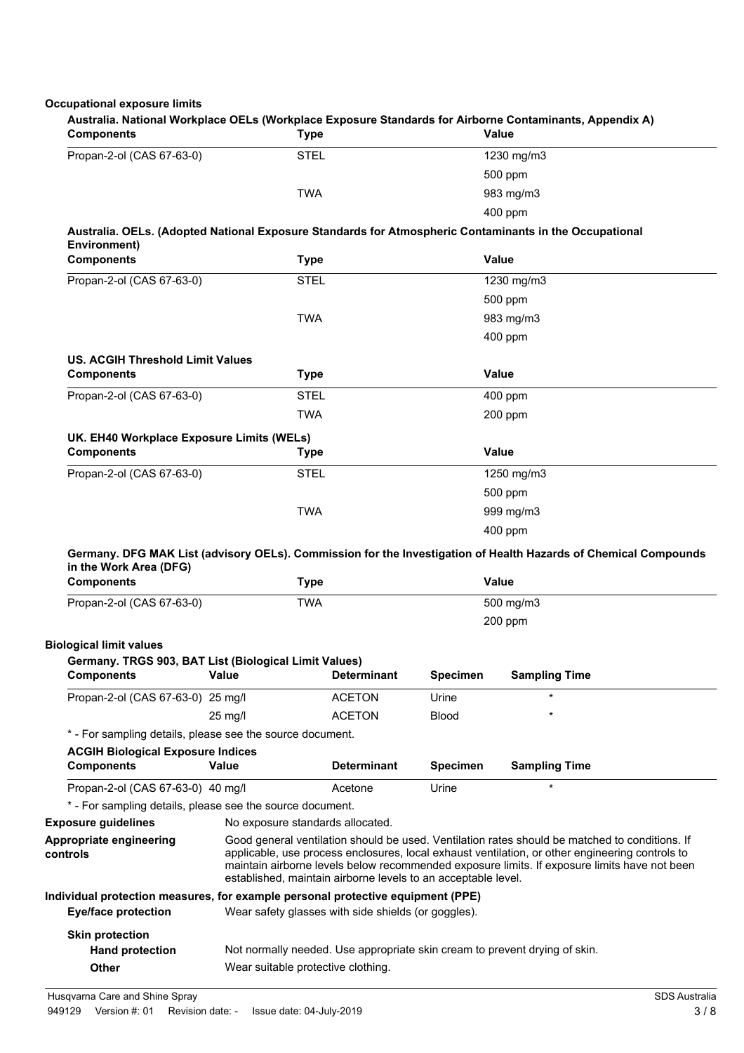### **Occupational exposure limits**

| <b>Components</b>                                                                       | <b>Type</b>                                         |                                                                                                                                                                                                                                                                                                                                                                    |                 | Australia. National Workplace OELs (Workplace Exposure Standards for Airborne Contaminants, Appendix A)<br><b>Value</b>  |  |
|-----------------------------------------------------------------------------------------|-----------------------------------------------------|--------------------------------------------------------------------------------------------------------------------------------------------------------------------------------------------------------------------------------------------------------------------------------------------------------------------------------------------------------------------|-----------------|--------------------------------------------------------------------------------------------------------------------------|--|
| Propan-2-ol (CAS 67-63-0)                                                               | <b>STEL</b>                                         |                                                                                                                                                                                                                                                                                                                                                                    |                 | 1230 mg/m3                                                                                                               |  |
|                                                                                         |                                                     |                                                                                                                                                                                                                                                                                                                                                                    |                 | 500 ppm                                                                                                                  |  |
|                                                                                         | <b>TWA</b>                                          |                                                                                                                                                                                                                                                                                                                                                                    |                 | 983 mg/m3                                                                                                                |  |
|                                                                                         |                                                     |                                                                                                                                                                                                                                                                                                                                                                    |                 | 400 ppm                                                                                                                  |  |
| Environment)                                                                            |                                                     |                                                                                                                                                                                                                                                                                                                                                                    |                 | Australia. OELs. (Adopted National Exposure Standards for Atmospheric Contaminants in the Occupational                   |  |
| <b>Components</b>                                                                       | <b>Type</b>                                         |                                                                                                                                                                                                                                                                                                                                                                    |                 | Value                                                                                                                    |  |
| Propan-2-ol (CAS 67-63-0)                                                               | <b>STEL</b>                                         |                                                                                                                                                                                                                                                                                                                                                                    |                 | 1230 mg/m3                                                                                                               |  |
|                                                                                         |                                                     |                                                                                                                                                                                                                                                                                                                                                                    |                 | 500 ppm                                                                                                                  |  |
|                                                                                         | <b>TWA</b>                                          |                                                                                                                                                                                                                                                                                                                                                                    |                 | 983 mg/m3                                                                                                                |  |
|                                                                                         |                                                     |                                                                                                                                                                                                                                                                                                                                                                    |                 | 400 ppm                                                                                                                  |  |
| <b>US. ACGIH Threshold Limit Values</b>                                                 |                                                     |                                                                                                                                                                                                                                                                                                                                                                    |                 |                                                                                                                          |  |
| <b>Components</b>                                                                       | <b>Type</b>                                         |                                                                                                                                                                                                                                                                                                                                                                    |                 | Value                                                                                                                    |  |
| Propan-2-ol (CAS 67-63-0)                                                               | <b>STEL</b>                                         |                                                                                                                                                                                                                                                                                                                                                                    |                 | 400 ppm                                                                                                                  |  |
|                                                                                         | <b>TWA</b>                                          |                                                                                                                                                                                                                                                                                                                                                                    |                 | 200 ppm                                                                                                                  |  |
| UK. EH40 Workplace Exposure Limits (WELs)                                               |                                                     |                                                                                                                                                                                                                                                                                                                                                                    |                 |                                                                                                                          |  |
| <b>Components</b>                                                                       | <b>Type</b>                                         |                                                                                                                                                                                                                                                                                                                                                                    |                 | Value                                                                                                                    |  |
| Propan-2-ol (CAS 67-63-0)                                                               | <b>STEL</b>                                         |                                                                                                                                                                                                                                                                                                                                                                    |                 | 1250 mg/m3                                                                                                               |  |
|                                                                                         |                                                     |                                                                                                                                                                                                                                                                                                                                                                    |                 | 500 ppm                                                                                                                  |  |
|                                                                                         | <b>TWA</b>                                          |                                                                                                                                                                                                                                                                                                                                                                    |                 | 999 mg/m3                                                                                                                |  |
|                                                                                         |                                                     |                                                                                                                                                                                                                                                                                                                                                                    |                 | 400 ppm                                                                                                                  |  |
| in the Work Area (DFG)<br><b>Components</b>                                             | <b>Type</b>                                         |                                                                                                                                                                                                                                                                                                                                                                    |                 | Germany. DFG MAK List (advisory OELs). Commission for the Investigation of Health Hazards of Chemical Compounds<br>Value |  |
| Propan-2-ol (CAS 67-63-0)                                                               | <b>TWA</b>                                          |                                                                                                                                                                                                                                                                                                                                                                    |                 | 500 mg/m3                                                                                                                |  |
|                                                                                         |                                                     |                                                                                                                                                                                                                                                                                                                                                                    |                 | 200 ppm                                                                                                                  |  |
|                                                                                         |                                                     |                                                                                                                                                                                                                                                                                                                                                                    |                 |                                                                                                                          |  |
| <b>Biological limit values</b><br>Germany. TRGS 903, BAT List (Biological Limit Values) |                                                     |                                                                                                                                                                                                                                                                                                                                                                    |                 |                                                                                                                          |  |
| <b>Components Value Determinant</b>                                                     |                                                     |                                                                                                                                                                                                                                                                                                                                                                    | Specimen        | <b>Sampling Time</b>                                                                                                     |  |
| Propan-2-ol (CAS 67-63-0) 25 mg/l                                                       |                                                     | <b>ACETON</b>                                                                                                                                                                                                                                                                                                                                                      | Urine           | $\star$                                                                                                                  |  |
|                                                                                         | 25 mg/l                                             | <b>ACETON</b>                                                                                                                                                                                                                                                                                                                                                      | <b>Blood</b>    |                                                                                                                          |  |
| * - For sampling details, please see the source document.                               |                                                     |                                                                                                                                                                                                                                                                                                                                                                    |                 |                                                                                                                          |  |
| <b>ACGIH Biological Exposure Indices</b>                                                |                                                     |                                                                                                                                                                                                                                                                                                                                                                    |                 |                                                                                                                          |  |
| <b>Components</b>                                                                       | Value                                               | <b>Determinant</b>                                                                                                                                                                                                                                                                                                                                                 | <b>Specimen</b> | <b>Sampling Time</b>                                                                                                     |  |
| Propan-2-ol (CAS 67-63-0) 40 mg/l                                                       |                                                     | Acetone                                                                                                                                                                                                                                                                                                                                                            | Urine           | $\star$                                                                                                                  |  |
| * - For sampling details, please see the source document.                               |                                                     |                                                                                                                                                                                                                                                                                                                                                                    |                 |                                                                                                                          |  |
| <b>Exposure guidelines</b>                                                              | No exposure standards allocated.                    |                                                                                                                                                                                                                                                                                                                                                                    |                 |                                                                                                                          |  |
| Appropriate engineering<br>controls                                                     |                                                     | Good general ventilation should be used. Ventilation rates should be matched to conditions. If<br>applicable, use process enclosures, local exhaust ventilation, or other engineering controls to<br>maintain airborne levels below recommended exposure limits. If exposure limits have not been<br>established, maintain airborne levels to an acceptable level. |                 |                                                                                                                          |  |
| Individual protection measures, for example personal protective equipment (PPE)         |                                                     |                                                                                                                                                                                                                                                                                                                                                                    |                 |                                                                                                                          |  |
| <b>Eye/face protection</b>                                                              | Wear safety glasses with side shields (or goggles). |                                                                                                                                                                                                                                                                                                                                                                    |                 |                                                                                                                          |  |
|                                                                                         |                                                     |                                                                                                                                                                                                                                                                                                                                                                    |                 |                                                                                                                          |  |
| <b>Skin protection</b>                                                                  |                                                     |                                                                                                                                                                                                                                                                                                                                                                    |                 |                                                                                                                          |  |
| <b>Hand protection</b>                                                                  |                                                     |                                                                                                                                                                                                                                                                                                                                                                    |                 | Not normally needed. Use appropriate skin cream to prevent drying of skin.                                               |  |

Husqvarna Care and Shine Spray SDS Australia Superior SDS Australia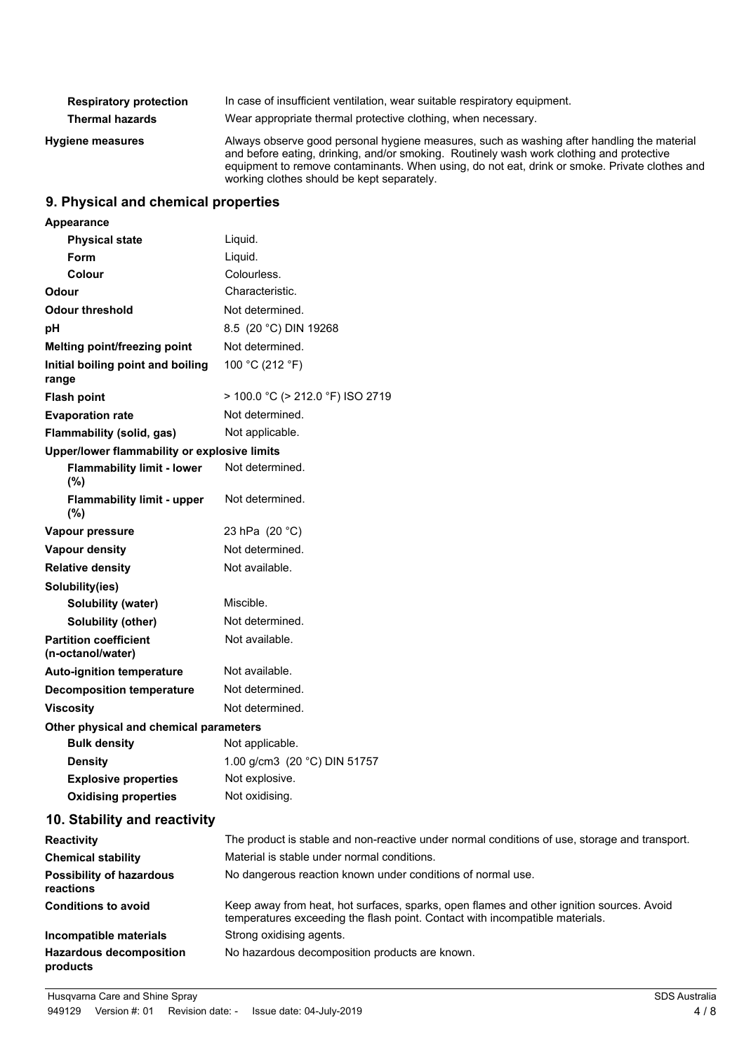| <b>Respiratory protection</b> | In case of insufficient ventilation, wear suitable respiratory equipment.                                                                                                                                                                                                                                                             |
|-------------------------------|---------------------------------------------------------------------------------------------------------------------------------------------------------------------------------------------------------------------------------------------------------------------------------------------------------------------------------------|
| <b>Thermal hazards</b>        | Wear appropriate thermal protective clothing, when necessary.                                                                                                                                                                                                                                                                         |
| <b>Hygiene measures</b>       | Always observe good personal hygiene measures, such as washing after handling the material<br>and before eating, drinking, and/or smoking. Routinely wash work clothing and protective<br>equipment to remove contaminants. When using, do not eat, drink or smoke. Private clothes and<br>working clothes should be kept separately. |

### **9. Physical and chemical properties**

| <b>Appearance</b>                                 |                                                                                                                                                                          |
|---------------------------------------------------|--------------------------------------------------------------------------------------------------------------------------------------------------------------------------|
| <b>Physical state</b>                             | Liquid.                                                                                                                                                                  |
| <b>Form</b>                                       | Liquid.                                                                                                                                                                  |
| Colour                                            | Colourless.                                                                                                                                                              |
| Odour                                             | Characteristic.                                                                                                                                                          |
| <b>Odour threshold</b>                            | Not determined.                                                                                                                                                          |
| pH                                                | 8.5 (20 °C) DIN 19268                                                                                                                                                    |
| <b>Melting point/freezing point</b>               | Not determined.                                                                                                                                                          |
| Initial boiling point and boiling<br>range        | 100 °C (212 °F)                                                                                                                                                          |
| <b>Flash point</b>                                | > 100.0 °C (> 212.0 °F) ISO 2719                                                                                                                                         |
| <b>Evaporation rate</b>                           | Not determined.                                                                                                                                                          |
| <b>Flammability (solid, gas)</b>                  | Not applicable.                                                                                                                                                          |
| Upper/lower flammability or explosive limits      |                                                                                                                                                                          |
| <b>Flammability limit - lower</b><br>(%)          | Not determined.                                                                                                                                                          |
| <b>Flammability limit - upper</b><br>(%)          | Not determined.                                                                                                                                                          |
| Vapour pressure                                   | 23 hPa (20 °C)                                                                                                                                                           |
| <b>Vapour density</b>                             | Not determined.                                                                                                                                                          |
| <b>Relative density</b>                           | Not available.                                                                                                                                                           |
| Solubility(ies)                                   |                                                                                                                                                                          |
| Solubility (water)                                | Miscible.                                                                                                                                                                |
| Solubility (other)                                | Not determined.                                                                                                                                                          |
| <b>Partition coefficient</b><br>(n-octanol/water) | Not available.                                                                                                                                                           |
| <b>Auto-ignition temperature</b>                  | Not available.                                                                                                                                                           |
| <b>Decomposition temperature</b>                  | Not determined.                                                                                                                                                          |
| <b>Viscosity</b>                                  | Not determined.                                                                                                                                                          |
| Other physical and chemical parameters            |                                                                                                                                                                          |
| <b>Bulk density</b>                               | Not applicable.                                                                                                                                                          |
| <b>Density</b>                                    | 1.00 g/cm3 (20 °C) DIN 51757                                                                                                                                             |
| <b>Explosive properties</b>                       | Not explosive.                                                                                                                                                           |
| <b>Oxidising properties</b>                       | Not oxidising.                                                                                                                                                           |
| 10. Stability and reactivity                      |                                                                                                                                                                          |
| Reactivity                                        | The product is stable and non-reactive under normal conditions of use, storage and transport.                                                                            |
| <b>Chemical stability</b>                         | Material is stable under normal conditions.                                                                                                                              |
| <b>Possibility of hazardous</b><br>reactions      | No dangerous reaction known under conditions of normal use.                                                                                                              |
| <b>Conditions to avoid</b>                        | Keep away from heat, hot surfaces, sparks, open flames and other ignition sources. Avoid<br>temperatures exceeding the flash point. Contact with incompatible materials. |

**Incompatible materials** Strong oxidising agents. **Hazardous decomposition** No hazardous decomposition products are known. **products**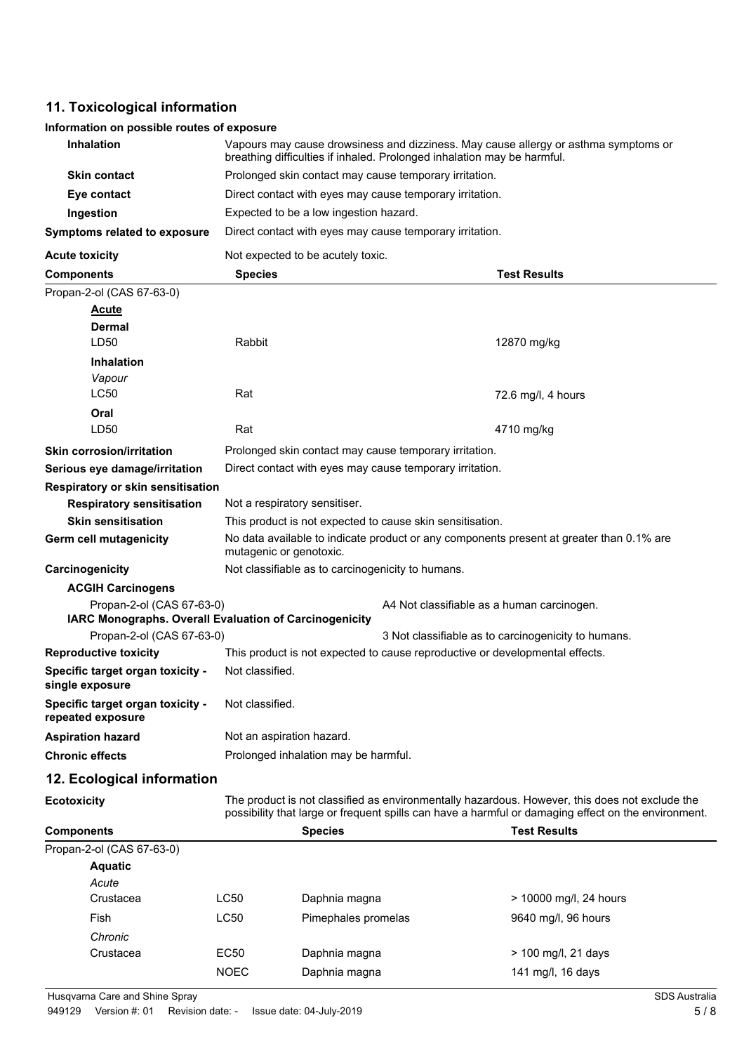## **11. Toxicological information**

### **Information on possible routes of exposure**

| <b>Inhalation</b>                                      | Vapours may cause drowsiness and dizziness. May cause allergy or asthma symptoms or<br>breathing difficulties if inhaled. Prolonged inhalation may be harmful. |                                                                                          |                                                                                                                                                                                                       |  |  |
|--------------------------------------------------------|----------------------------------------------------------------------------------------------------------------------------------------------------------------|------------------------------------------------------------------------------------------|-------------------------------------------------------------------------------------------------------------------------------------------------------------------------------------------------------|--|--|
| <b>Skin contact</b>                                    |                                                                                                                                                                | Prolonged skin contact may cause temporary irritation.                                   |                                                                                                                                                                                                       |  |  |
| Eye contact                                            |                                                                                                                                                                | Direct contact with eyes may cause temporary irritation.                                 |                                                                                                                                                                                                       |  |  |
| Ingestion                                              |                                                                                                                                                                | Expected to be a low ingestion hazard.                                                   |                                                                                                                                                                                                       |  |  |
| <b>Symptoms related to exposure</b>                    |                                                                                                                                                                | Direct contact with eyes may cause temporary irritation.                                 |                                                                                                                                                                                                       |  |  |
| <b>Acute toxicity</b>                                  | Not expected to be acutely toxic.                                                                                                                              |                                                                                          |                                                                                                                                                                                                       |  |  |
| <b>Components</b>                                      | <b>Species</b>                                                                                                                                                 |                                                                                          | <b>Test Results</b>                                                                                                                                                                                   |  |  |
| Propan-2-ol (CAS 67-63-0)                              |                                                                                                                                                                |                                                                                          |                                                                                                                                                                                                       |  |  |
| <b>Acute</b>                                           |                                                                                                                                                                |                                                                                          |                                                                                                                                                                                                       |  |  |
| <b>Dermal</b>                                          |                                                                                                                                                                |                                                                                          |                                                                                                                                                                                                       |  |  |
| LD50                                                   | Rabbit                                                                                                                                                         |                                                                                          | 12870 mg/kg                                                                                                                                                                                           |  |  |
| <b>Inhalation</b>                                      |                                                                                                                                                                |                                                                                          |                                                                                                                                                                                                       |  |  |
| Vapour                                                 |                                                                                                                                                                |                                                                                          |                                                                                                                                                                                                       |  |  |
| <b>LC50</b>                                            | Rat                                                                                                                                                            |                                                                                          | 72.6 mg/l, 4 hours                                                                                                                                                                                    |  |  |
| Oral                                                   |                                                                                                                                                                |                                                                                          |                                                                                                                                                                                                       |  |  |
| LD50                                                   | Rat                                                                                                                                                            |                                                                                          | 4710 mg/kg                                                                                                                                                                                            |  |  |
| <b>Skin corrosion/irritation</b>                       |                                                                                                                                                                | Prolonged skin contact may cause temporary irritation.                                   |                                                                                                                                                                                                       |  |  |
| Serious eye damage/irritation                          |                                                                                                                                                                | Direct contact with eyes may cause temporary irritation.                                 |                                                                                                                                                                                                       |  |  |
| <b>Respiratory or skin sensitisation</b>               |                                                                                                                                                                |                                                                                          |                                                                                                                                                                                                       |  |  |
| <b>Respiratory sensitisation</b>                       | Not a respiratory sensitiser.                                                                                                                                  |                                                                                          |                                                                                                                                                                                                       |  |  |
| <b>Skin sensitisation</b>                              |                                                                                                                                                                | This product is not expected to cause skin sensitisation.                                |                                                                                                                                                                                                       |  |  |
| Germ cell mutagenicity                                 | mutagenic or genotoxic.                                                                                                                                        | No data available to indicate product or any components present at greater than 0.1% are |                                                                                                                                                                                                       |  |  |
| Carcinogenicity                                        |                                                                                                                                                                | Not classifiable as to carcinogenicity to humans.                                        |                                                                                                                                                                                                       |  |  |
| <b>ACGIH Carcinogens</b>                               |                                                                                                                                                                |                                                                                          |                                                                                                                                                                                                       |  |  |
| Propan-2-ol (CAS 67-63-0)                              |                                                                                                                                                                | A4 Not classifiable as a human carcinogen.                                               |                                                                                                                                                                                                       |  |  |
| IARC Monographs. Overall Evaluation of Carcinogenicity |                                                                                                                                                                |                                                                                          |                                                                                                                                                                                                       |  |  |
| Propan-2-ol (CAS 67-63-0)                              |                                                                                                                                                                |                                                                                          | 3 Not classifiable as to carcinogenicity to humans.                                                                                                                                                   |  |  |
| <b>Reproductive toxicity</b>                           | This product is not expected to cause reproductive or developmental effects.                                                                                   |                                                                                          |                                                                                                                                                                                                       |  |  |
| Specific target organ toxicity -<br>single exposure    | Not classified.                                                                                                                                                |                                                                                          |                                                                                                                                                                                                       |  |  |
| Specific target organ toxicity -<br>repeated exposure  | Not classified.                                                                                                                                                |                                                                                          |                                                                                                                                                                                                       |  |  |
| <b>Aspiration hazard</b>                               | Not an aspiration hazard.                                                                                                                                      |                                                                                          |                                                                                                                                                                                                       |  |  |
| <b>Chronic effects</b>                                 |                                                                                                                                                                | Prolonged inhalation may be harmful.                                                     |                                                                                                                                                                                                       |  |  |
| 12. Ecological information                             |                                                                                                                                                                |                                                                                          |                                                                                                                                                                                                       |  |  |
| <b>Ecotoxicity</b>                                     |                                                                                                                                                                |                                                                                          | The product is not classified as environmentally hazardous. However, this does not exclude the<br>possibility that large or frequent spills can have a harmful or damaging effect on the environment. |  |  |
| <b>Components</b>                                      |                                                                                                                                                                | <b>Species</b>                                                                           | <b>Test Results</b>                                                                                                                                                                                   |  |  |
| Propan-2-ol (CAS 67-63-0)                              |                                                                                                                                                                |                                                                                          |                                                                                                                                                                                                       |  |  |
| <b>Aquatic</b>                                         |                                                                                                                                                                |                                                                                          |                                                                                                                                                                                                       |  |  |
| Acute                                                  |                                                                                                                                                                |                                                                                          |                                                                                                                                                                                                       |  |  |
| Crustacea                                              | LC50                                                                                                                                                           | Daphnia magna                                                                            | > 10000 mg/l, 24 hours                                                                                                                                                                                |  |  |
| Fish                                                   | LC50                                                                                                                                                           | Pimephales promelas                                                                      | 9640 mg/l, 96 hours                                                                                                                                                                                   |  |  |
| Chronic                                                |                                                                                                                                                                |                                                                                          |                                                                                                                                                                                                       |  |  |
| Crustacea                                              | <b>EC50</b>                                                                                                                                                    | Daphnia magna                                                                            | > 100 mg/l, 21 days                                                                                                                                                                                   |  |  |

EC50 Daphnia magna  $\ge$  100 mg/l, 21 days NOEC Daphnia magna 141 mg/l, 16 days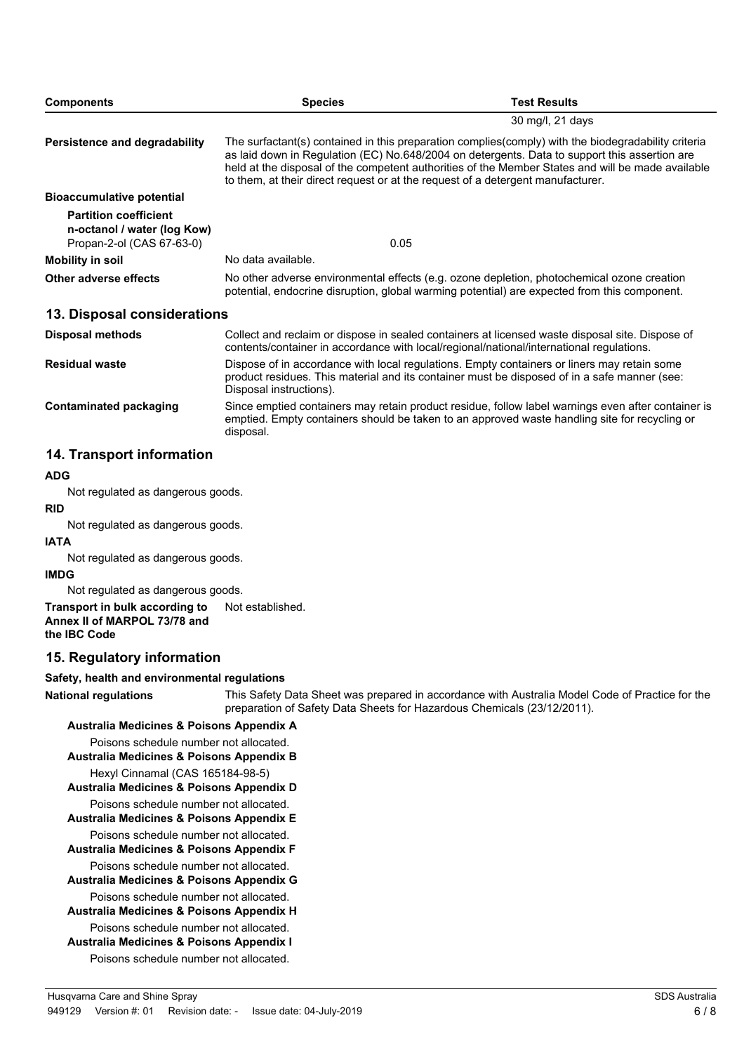| <b>Components</b>                                                                        | <b>Species</b>                                                                                                                                                                                                                                                                                                                                                                               | <b>Test Results</b>                                                                                                                                                                         |  |
|------------------------------------------------------------------------------------------|----------------------------------------------------------------------------------------------------------------------------------------------------------------------------------------------------------------------------------------------------------------------------------------------------------------------------------------------------------------------------------------------|---------------------------------------------------------------------------------------------------------------------------------------------------------------------------------------------|--|
|                                                                                          |                                                                                                                                                                                                                                                                                                                                                                                              | 30 mg/l, 21 days                                                                                                                                                                            |  |
| Persistence and degradability                                                            | The surfactant(s) contained in this preparation complies(comply) with the biodegradability criteria<br>as laid down in Regulation (EC) No.648/2004 on detergents. Data to support this assertion are<br>held at the disposal of the competent authorities of the Member States and will be made available<br>to them, at their direct request or at the request of a detergent manufacturer. |                                                                                                                                                                                             |  |
| <b>Bioaccumulative potential</b>                                                         |                                                                                                                                                                                                                                                                                                                                                                                              |                                                                                                                                                                                             |  |
| <b>Partition coefficient</b><br>n-octanol / water (log Kow)<br>Propan-2-ol (CAS 67-63-0) | 0.05                                                                                                                                                                                                                                                                                                                                                                                         |                                                                                                                                                                                             |  |
| Mobility in soil                                                                         | No data available.                                                                                                                                                                                                                                                                                                                                                                           |                                                                                                                                                                                             |  |
| Other adverse effects                                                                    | No other adverse environmental effects (e.g. ozone depletion, photochemical ozone creation<br>potential, endocrine disruption, global warming potential) are expected from this component.                                                                                                                                                                                                   |                                                                                                                                                                                             |  |
| 13. Disposal considerations                                                              |                                                                                                                                                                                                                                                                                                                                                                                              |                                                                                                                                                                                             |  |
| Disposal methods                                                                         |                                                                                                                                                                                                                                                                                                                                                                                              | Collect and reclaim or dispose in sealed containers at licensed waste disposal site. Dispose of<br>contents/container in accordance with local/regional/national/international regulations. |  |
| <b>Residual waste</b>                                                                    | Disposal instructions).                                                                                                                                                                                                                                                                                                                                                                      | Dispose of in accordance with local regulations. Empty containers or liners may retain some<br>product residues. This material and its container must be disposed of in a safe manner (see: |  |
| Contaminated packaging                                                                   |                                                                                                                                                                                                                                                                                                                                                                                              | Since emptied containers may retain product residue, follow label warnings even after container is                                                                                          |  |

emptied. Empty containers should be taken to an approved waste handling site for recycling or

### **14. Transport information**

#### **ADG**

Not regulated as dangerous goods.

disposal.

#### **RID**

Not regulated as dangerous goods.

### **IATA**

Not regulated as dangerous goods.

#### **IMDG**

Not regulated as dangerous goods.

**Transport in bulk according to** Not established.

**Annex II of MARPOL 73/78 and the IBC Code**

### **15. Regulatory information**

### **Safety, health and environmental regulations**

This Safety Data Sheet was prepared in accordance with Australia Model Code of Practice for the preparation of Safety Data Sheets for Hazardous Chemicals (23/12/2011). **National regulations**

**Australia Medicines & Poisons Appendix A** Poisons schedule number not allocated. **Australia Medicines & Poisons Appendix B** Hexyl Cinnamal (CAS 165184-98-5) **Australia Medicines & Poisons Appendix D** Poisons schedule number not allocated. **Australia Medicines & Poisons Appendix E** Poisons schedule number not allocated. **Australia Medicines & Poisons Appendix F** Poisons schedule number not allocated. **Australia Medicines & Poisons Appendix G** Poisons schedule number not allocated. **Australia Medicines & Poisons Appendix H** Poisons schedule number not allocated. **Australia Medicines & Poisons Appendix I**

Poisons schedule number not allocated.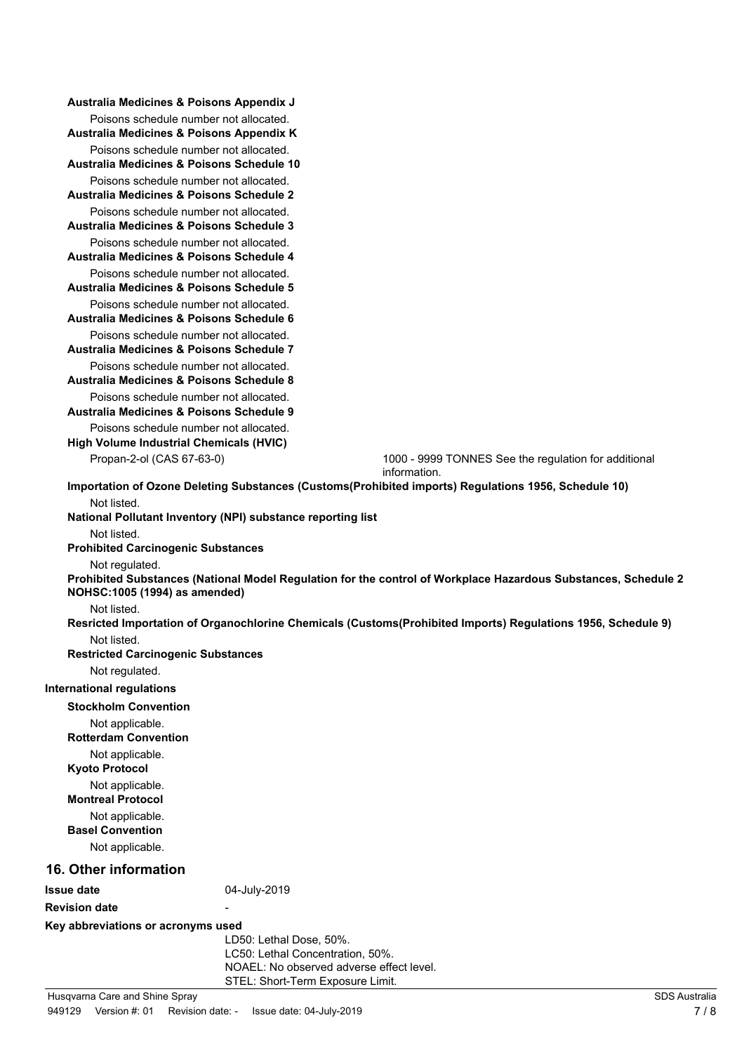| Australia Medicines & Poisons Appendix K<br>Poisons schedule number not allocated.<br>Australia Medicines & Poisons Schedule 10<br>Poisons schedule number not allocated.<br>Australia Medicines & Poisons Schedule 2<br>Poisons schedule number not allocated.<br>Australia Medicines & Poisons Schedule 3<br>Poisons schedule number not allocated.<br>Australia Medicines & Poisons Schedule 4<br>Poisons schedule number not allocated. |  |
|---------------------------------------------------------------------------------------------------------------------------------------------------------------------------------------------------------------------------------------------------------------------------------------------------------------------------------------------------------------------------------------------------------------------------------------------|--|
|                                                                                                                                                                                                                                                                                                                                                                                                                                             |  |
|                                                                                                                                                                                                                                                                                                                                                                                                                                             |  |
|                                                                                                                                                                                                                                                                                                                                                                                                                                             |  |
|                                                                                                                                                                                                                                                                                                                                                                                                                                             |  |
|                                                                                                                                                                                                                                                                                                                                                                                                                                             |  |
| Australia Medicines & Poisons Schedule 5                                                                                                                                                                                                                                                                                                                                                                                                    |  |
| Poisons schedule number not allocated.<br>Australia Medicines & Poisons Schedule 6<br>Poisons schedule number not allocated.                                                                                                                                                                                                                                                                                                                |  |
| Australia Medicines & Poisons Schedule 7                                                                                                                                                                                                                                                                                                                                                                                                    |  |
| Poisons schedule number not allocated.<br>Australia Medicines & Poisons Schedule 8                                                                                                                                                                                                                                                                                                                                                          |  |
| Poisons schedule number not allocated.<br>Australia Medicines & Poisons Schedule 9                                                                                                                                                                                                                                                                                                                                                          |  |
| Poisons schedule number not allocated.<br><b>High Volume Industrial Chemicals (HVIC)</b>                                                                                                                                                                                                                                                                                                                                                    |  |
| Propan-2-ol (CAS 67-63-0)<br>1000 - 9999 TONNES See the regulation for additional<br>information.                                                                                                                                                                                                                                                                                                                                           |  |
| Importation of Ozone Deleting Substances (Customs(Prohibited imports) Regulations 1956, Schedule 10)                                                                                                                                                                                                                                                                                                                                        |  |
| Not listed.                                                                                                                                                                                                                                                                                                                                                                                                                                 |  |
| National Pollutant Inventory (NPI) substance reporting list                                                                                                                                                                                                                                                                                                                                                                                 |  |
| Not listed.<br><b>Prohibited Carcinogenic Substances</b>                                                                                                                                                                                                                                                                                                                                                                                    |  |
| Not regulated.<br>Prohibited Substances (National Model Regulation for the control of Workplace Hazardous Substances, Schedule 2<br>NOHSC: 1005 (1994) as amended)                                                                                                                                                                                                                                                                          |  |
| Not listed.                                                                                                                                                                                                                                                                                                                                                                                                                                 |  |
| Resricted Importation of Organochlorine Chemicals (Customs(Prohibited Imports) Regulations 1956, Schedule 9)                                                                                                                                                                                                                                                                                                                                |  |
| Not listed.<br><b>Restricted Carcinogenic Substances</b>                                                                                                                                                                                                                                                                                                                                                                                    |  |
| Not regulated.                                                                                                                                                                                                                                                                                                                                                                                                                              |  |
| <b>International regulations</b>                                                                                                                                                                                                                                                                                                                                                                                                            |  |
| <b>Stockholm Convention</b>                                                                                                                                                                                                                                                                                                                                                                                                                 |  |
| Not applicable.<br><b>Rotterdam Convention</b>                                                                                                                                                                                                                                                                                                                                                                                              |  |
| Not applicable.<br><b>Kyoto Protocol</b>                                                                                                                                                                                                                                                                                                                                                                                                    |  |
| Not applicable.<br><b>Montreal Protocol</b>                                                                                                                                                                                                                                                                                                                                                                                                 |  |
| Not applicable.<br><b>Basel Convention</b>                                                                                                                                                                                                                                                                                                                                                                                                  |  |
| Not applicable.                                                                                                                                                                                                                                                                                                                                                                                                                             |  |
| <b>16. Other information</b>                                                                                                                                                                                                                                                                                                                                                                                                                |  |
| 04-July-2019<br><b>Issue date</b>                                                                                                                                                                                                                                                                                                                                                                                                           |  |
| <b>Revision date</b>                                                                                                                                                                                                                                                                                                                                                                                                                        |  |
| Key abbreviations or acronyms used                                                                                                                                                                                                                                                                                                                                                                                                          |  |
| LD50: Lethal Dose, 50%.<br>LC50: Lethal Concentration, 50%.                                                                                                                                                                                                                                                                                                                                                                                 |  |
| NOAEL: No observed adverse effect level.                                                                                                                                                                                                                                                                                                                                                                                                    |  |
| STEL: Short-Term Exposure Limit.<br>SDS Australia<br>Husqvarna Care and Shine Spray                                                                                                                                                                                                                                                                                                                                                         |  |